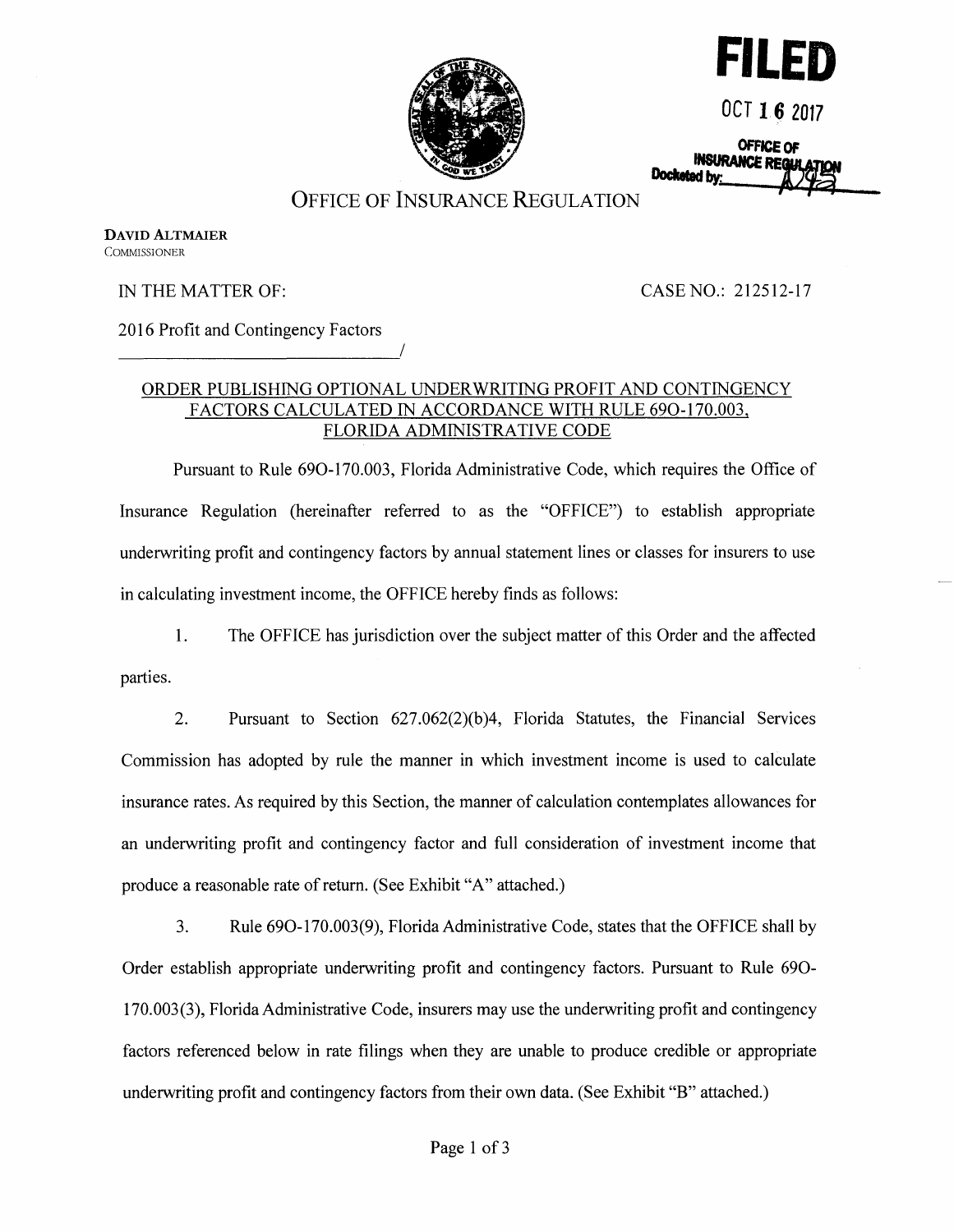



**OCT 16 2017** 

OFFICE OF<br>INSURANCE REQUE Docketed by:

## OFFICE OF INSURANCE REGULATION

**DAVID ALTMAIER COMMISSIONER** 

IN THE MATTER OF:

CASE NO.: 212512-17

2016 Profit and Contingency Factors

#### ORDER PUBLISHING OPTIONAL UNDERWRITING PROFIT AND CONTINGENCY FACTORS CALCULATED IN ACCORDANCE WITH RULE 690-170.003, FLORIDA ADMINISTRATIVE CODE

Pursuant to Rule 690-170.003, Florida Administrative Code, which requires the Office of Insurance Regulation (hereinafter referred to as the "OFFICE") to establish appropriate underwriting profit and contingency factors by annual statement lines or classes for insurers to use in calculating investment income, the OFFICE hereby finds as follows:

1. The OFFICE has jurisdiction over the subject matter of this Order and the affected parties.

2. Pursuant to Section 627.062(2)(b )4, Florida Statutes, the Financial Services Commission has adopted by rule the manner in which investment income is used to calculate insurance rates. As required by this Section, the manner of calculation contemplates allowances for an underwriting profit and contingency factor and full consideration of investment income that produce a reasonable rate of return. (See Exhibit "A" attached.)

3. Rule 690-170.003(9), Florida Administrative Code, states that the OFFICE shall by Order establish appropriate underwriting profit and contingency factors. Pursuant to Rule 690- 170.003 (3), Florida Administrative Code, insurers may use the underwriting profit and contingency factors referenced below in rate filings when they are unable to produce credible or appropriate underwriting profit and contingency factors from their own data. (See Exhibit "B" attached.)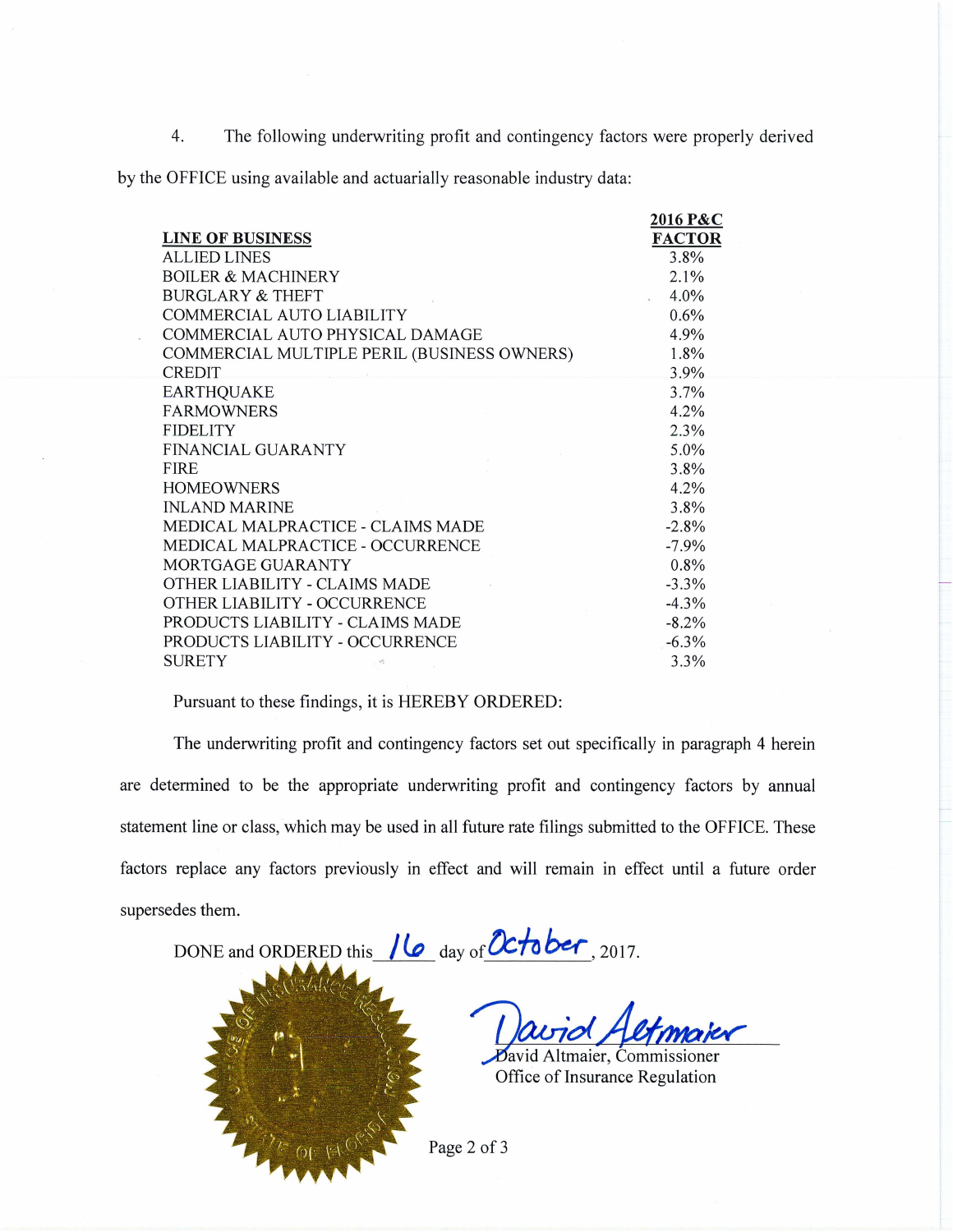4. The following underwriting profit and contingency factors were properly derived

by the OFFICE using available and actuarially reasonable industry data:

|                                  |                                             | 2016 P&C      |
|----------------------------------|---------------------------------------------|---------------|
| <b>LINE OF BUSINESS</b>          |                                             | <b>FACTOR</b> |
| <b>ALLIED LINES</b>              |                                             | 3.8%          |
| <b>BOILER &amp; MACHINERY</b>    |                                             | 2.1%          |
| <b>BURGLARY &amp; THEFT</b>      |                                             | 4.0%          |
| COMMERCIAL AUTO LIABILITY        |                                             | 0.6%          |
| COMMERCIAL AUTO PHYSICAL DAMAGE  |                                             | 4.9%          |
|                                  | COMMERCIAL MULTIPLE PERIL (BUSINESS OWNERS) | 1.8%          |
| <b>CREDIT</b>                    |                                             | 3.9%          |
| <b>EARTHQUAKE</b>                |                                             | $3.7\%$       |
| <b>FARMOWNERS</b>                |                                             | 4.2%          |
| <b>FIDELITY</b>                  |                                             | 2.3%          |
| FINANCIAL GUARANTY               |                                             | 5.0%          |
| <b>FIRE</b>                      |                                             | 3.8%          |
| <b>HOMEOWNERS</b>                |                                             | 4.2%          |
| <b>INLAND MARINE</b>             |                                             | 3.8%          |
|                                  | MEDICAL MALPRACTICE - CLAIMS MADE           | $-2.8%$       |
|                                  | MEDICAL MALPRACTICE - OCCURRENCE            | $-7.9\%$      |
| MORTGAGE GUARANTY                |                                             | 0.8%          |
| OTHER LIABILITY - CLAIMS MADE    |                                             | $-3.3\%$      |
| OTHER LIABILITY - OCCURRENCE     |                                             | $-4.3%$       |
| PRODUCTS LIABILITY - CLAIMS MADE |                                             | $-8.2%$       |
| PRODUCTS LIABILITY - OCCURRENCE  |                                             | $-6.3\%$      |
| <b>SURETY</b>                    | st.                                         | 3.3%          |

Pursuant to these findings, it is HEREBY ORDERED:

The underwriting profit and contingency factors set out specifically in paragraph 4 herein are determined to be the appropriate underwriting profit and contingency factors by annual statement line or class, which may be used in all future rate filings submitted to the OFFICE. These factors replace any factors previously in effect and will remain in effect until a future order supersedes them.

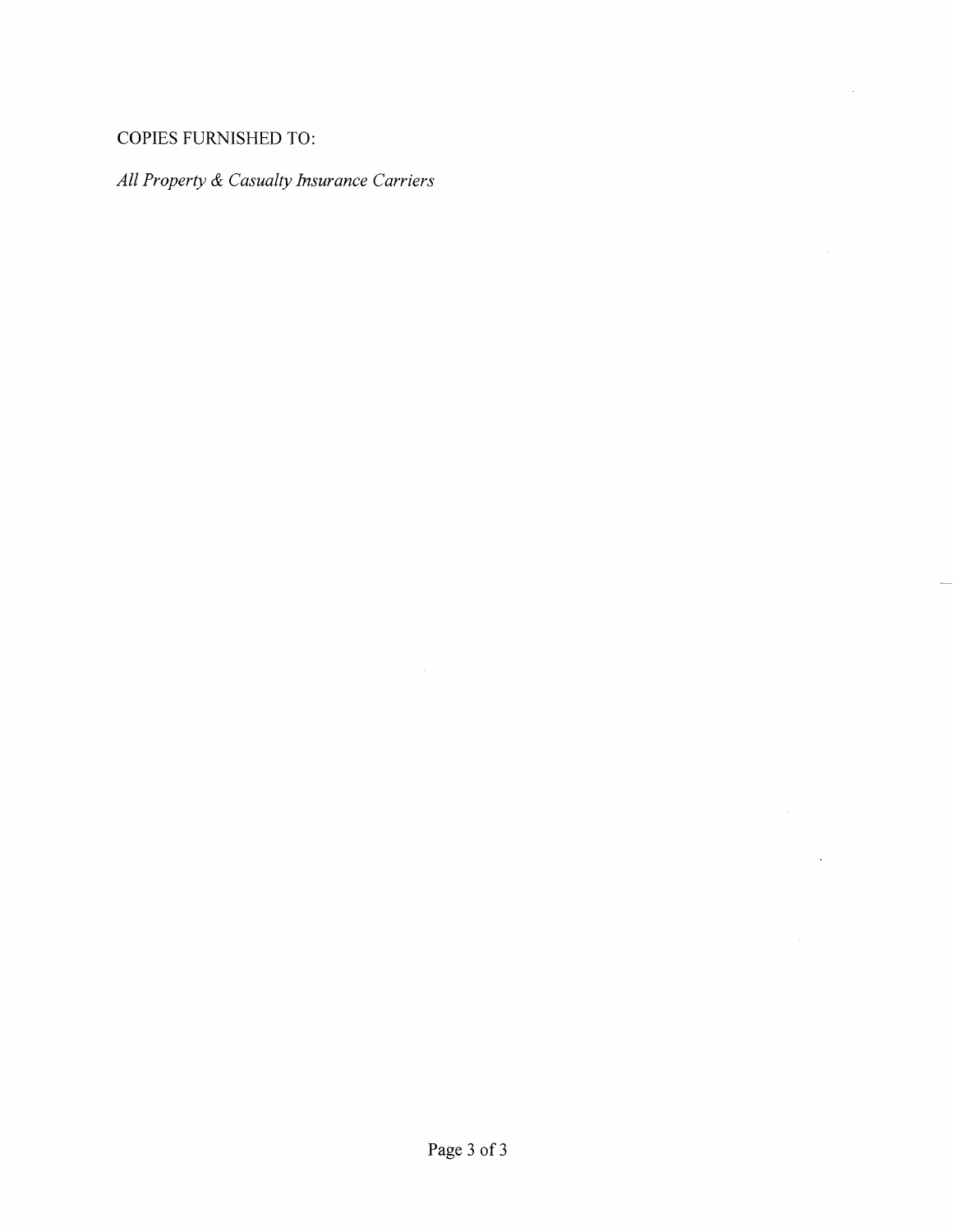# COPIES FURNISHED TO:

# *All Property & Casualty Insurance Carriers*

 $\bar{\mathcal{A}}$ 

 $\sim 10^6$ 

 $\mathcal{L}^{\text{max}}_{\text{max}}$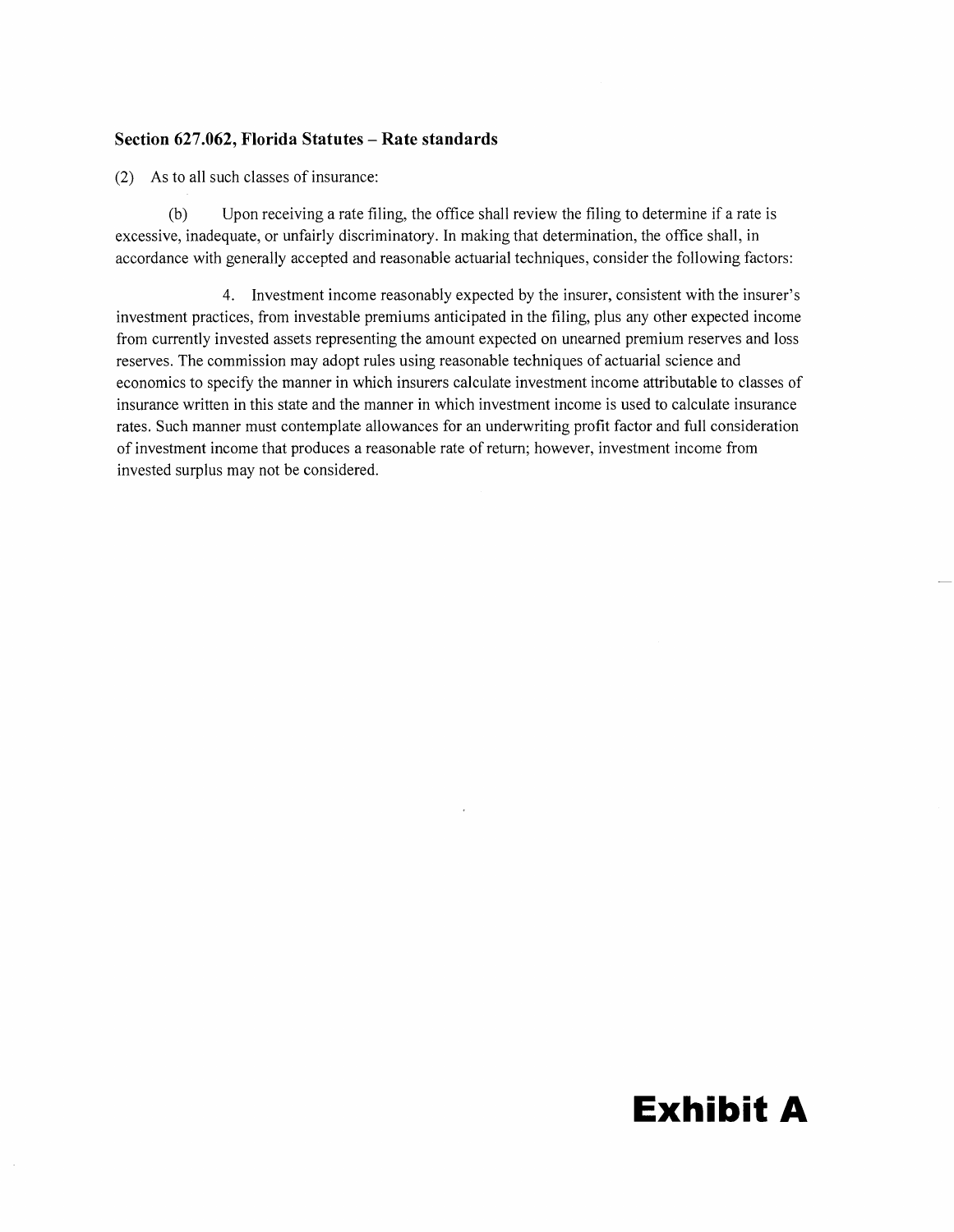#### **Section 627.062, Florida Statutes - Rate standards**

(2) As to all such classes of insurance:

(b) Upon receiving a rate filing, the office shall review the filing to determine if a rate is excessive, inadequate, or unfairly discriminatory. In making that determination, the office shall, in accordance with generally accepted and reasonable actuarial techniques, consider the following factors:

4. Investment income reasonably expected by the insurer, consistent with the insurer's investment practices, from investable premiums anticipated in the filing, plus any other expected income from currently invested assets representing the amount expected on unearned premium reserves and loss reserves. The commission may adopt rules using reasonable techniques of actuarial science and economics to specify the manner in which insurers calculate investment income attributable to classes of insurance written in this state and the manner in which investment income is used to calculate insurance rates. Such manner must contemplate allowances for an underwriting profit factor and full consideration of investment income that produces a reasonable rate of return; however, investment income from invested surplus may not be considered.

# **Exhibit A**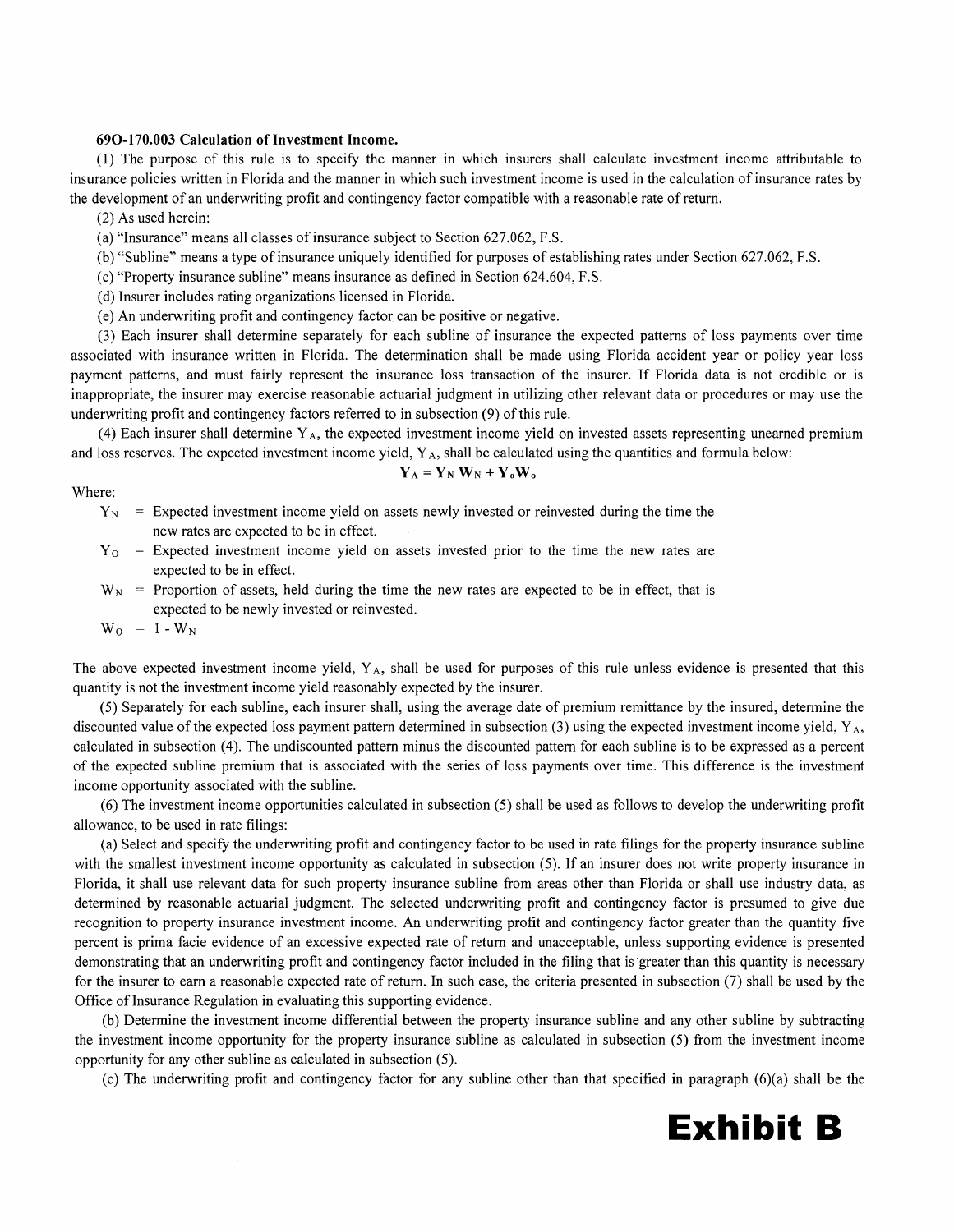#### **690-170.003 Calculation of Investment Income.**

(1) The purpose of this rule is to specify the manner in which insurers shall calculate investment income attributable to insurance policies written in Florida and the manner in which such investment income is used in the calculation of insurance rates by the development of an underwriting profit and contingency factor compatible with a reasonable rate of return.

(2) As used herein:

(a) "Insurance" means all classes of insurance subject to Section 627.062, F.S.

(b) "Subline" means a type of insurance uniquely identified for purposes of establishing rates under Section 627.062, F.S.

(c) "Property insurance subline" means insurance as defined in Section 624.604, F.S.

( d) Insurer includes rating organizations licensed in Florida.

( e) An underwriting profit and contingency factor can be positive or negative.

(3) Each insurer shall determine separately for each subline of insurance the expected patterns of loss payments over time associated with insurance written in Florida. The determination shall be made using Florida accident year or policy year loss payment patterns, and must fairly represent the insurance loss transaction of the insurer. If Florida data is not credible or is inappropriate, the insurer may exercise reasonable actuarial judgment in utilizing other relevant data or procedures or may use the underwriting profit and contingency factors referred to in subsection (9) of this rule.

(4) Each insurer shall determine  $Y_A$ , the expected investment income yield on invested assets representing unearned premium and loss reserves. The expected investment income yield,  $Y_A$ , shall be calculated using the quantities and formula below:

$$
Y_A = Y_N W_N + Y_o W_o
$$

Where:

- $Y_{N}$  = Expected investment income yield on assets newly invested or reinvested during the time the new rates are expected to be in effect.
- $Y<sub>0</sub>$  = Expected investment income yield on assets invested prior to the time the new rates are expected to be in effect.
- $W_N$  = Proportion of assets, held during the time the new rates are expected to be in effect, that is expected to be newly invested or reinvested.

 $W_0 = 1 - W_N$ 

The above expected investment income yield,  $Y_A$ , shall be used for purposes of this rule unless evidence is presented that this quantity is not the investment income yield reasonably expected by the insurer.

(5) Separately for each subline, each insurer shall, using the average date of premium remittance by the insured, determine the discounted value of the expected loss payment pattern determined in subsection (3) using the expected investment income yield,  $Y_A$ , calculated in subsection (4). The undiscounted pattern minus the discounted pattern for each subline is to be expressed as a percent of the expected subline premium that is associated with the series of loss payments over time. This difference is the investment income opportunity associated with the subline.

(6) The investment income opportunities calculated in subsection (5) shall be used as follows to develop the underwriting profit allowance, to be used in rate filings:

(a) Select and specify the underwriting profit and contingency factor to be used in rate filings for the property insurance subline with the smallest investment income opportunity as calculated in subsection (5). If an insurer does not write property insurance in Florida, it shall use relevant data for such property insurance subline from areas other than Florida or shall use industry data, as determined by reasonable actuarial judgment. The selected underwriting profit and contingency factor is presumed to give due recognition to property insurance investment income. An underwriting profit and contingency factor greater than the quantity five percent is prima facie evidence of an excessive expected rate of return and unacceptable, unless supporting evidence is presented demonstrating that an underwriting profit and contingency factor included in the filing that is greater than this quantity is necessary for the insurer to earn a reasonable expected rate of return. In such case, the criteria presented in subsection (7) shall be used by the Office of Insurance Regulation in evaluating this supporting evidence.

(b) Determine the investment income differential between the property insurance sub line and any other sub line by subtracting the investment income opportunity for the property insurance subline as calculated in subsection (5) from the investment income opportunity for any other subline as calculated in subsection (5).

(c) The underwriting profit and contingency factor for any subline other than that specified in paragraph (6)(a) shall be the